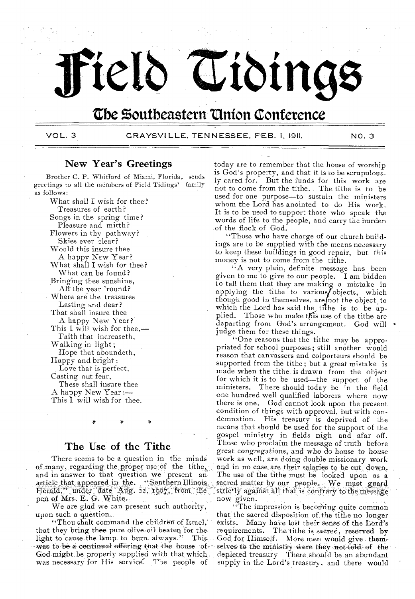

# **Cbe Zoutheastern 'Union Conference**

VOL. 3 GRAYSVILLE. TENNESSEE, FEB. I. 1911. NO. 3

# New Year's Greetings

Brother C. P. Whitford of Miami, Florida, sends greetings to all the members of Field Tidings' family as follows:

What shall I wish for thee? Treasures of earth? Songs in the spring time? Pleasure and mirth? Flowers in thy pathway? Skies ever clear? Would this insure thee A happy New Year? What shall I wish for thee? What can be found? Bringing thee sunshine, Alt the year 'round? Where are the treasures Lasting and dear? That shall insure thee A happy New Year? This I will wish for thee,— Faith that increaseth, Walking in light ; Hope that aboundeth, Happy and bright : Love that is perfect, Casting out fear, These shall insure thee A happy New Year :— This  $\tilde{I}$  will wish for thee.

# The Use of the Tithe

There seems to be a question in the minds of many, regarding the proper use of the tithe, and in answer to that question we present an article that appeared in the. "Southern Illinois. Herald," under date Aug. 22, 1907, from the pen of Mrs. E. G. White.

We are glad we can present such authority, upon such a question..

"Thou shalt command the children of Israel," that they bring thee pure olive-oil beaten for the, light to cause the lamp, to burn, always." This, God might be properly supplied with that which. was necessary for His service. The people of

today are to remember that the house of worship is God's property, and that it is to be scrupulously cared for. But the funds for this work are not to come from the tithe. The tithe is to be used for one purpose—to sustain the ministers whom the Lord has anointed to do His work. It is to be used to support those who speak the words of life to the people, and carry the burden of the flock of God.

"Those who have charge of our church buildings are to be supplied with the means necessary to keep these buildings in good repair, but this money is not to come from the tithe.

"A very plain, definite message has been given to me to give to our people. I am bidden to tell them that they are making a mistake in applying the tithe to various objects, which though good in themselves, are not the object to which the Lord has said the tithe is to be applied. Those who make this use of the tithe are departing from God's arrangement. God will judge them for these things.

"One reasons that the tithe may be appropriated for school purposes; still another would reason that canvassers and colporteurs should be supported from the tithe; but a great mistake is made when the tithe. is drawn from the object for which it is to be used—the support of the ministers. There should today be in the field one hundred well qualified laborers where now there is one. God cannot look upon the present condition of thing's with approval, but with condemnation. His treasury is deprived of the means that should be used for the support of the gospel ministry in fields nigh and afar off. Those who proclaim the message of truth before great congregations, and who do house to house work as well, are doing double missionary work and in no case are their salaries to be cut. down. The use of the tithe must be looked upon as a sacred matter by our people. We must guard  $\frac{1}{2}$  strictly against all that is contrary to the message now given.

was to be a continual offering that the house of selves to the ministry were they not told of the "The impression is becoming quite common that the sacred disposition of, the tithe no longer exists. Many have lost their sense of the Lord's requirements. The tithe is sacred, reserved by God for Himself. More men would give themdepleted treasury There should be an abundant supply in the Lord's treasury, and there would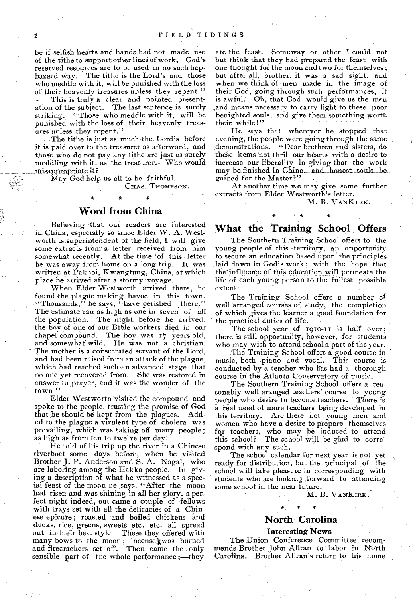be if selfish hearts and hands had not made use of the tithe to support other lines of work, God's reserved resources are to be used in no such haphazard Way. The tithe is the Lord's and those who meddle with it, will be punished with the loss of their heavenly treasures unless they repent."

This is truly a clear and pointed presentation of the subject. The last sentence is surely striking. "Those who meddle with it, will be punished with the loss of their heavenly treasures unless they repent."

The tithe is just as much the. Lord's before it is paid over to the treasurer as afterward, and those who do not pay any tithe are just as surely meddling with it, as the treasurer. Who would misappropriate it?

May God help us all to be faithful.

**\* \*** 

CHAS. THOMPSON.

# **Word from China**

Believing that our readers are interested in. China, especially so since Elder W. A. Westworth is superintendent of the field, I will give some extracts from a- letter received from him somewhat recently. At the time of this letter he was away from home on a long trip. It was written at Pakhoi, Kwangtung, China, at which place he arrived after a stormy voyage.

When Elder Westworth arrived there, he found the plague making havoc in this town. "Thousands," he says, "have perished there." The estimate ran as high as one in seven of all the population. The night before he arrived, the bov of one of our Bible workers died in our chapel compound. The boy was 17 years old, and somewhat wild. He was not a christian. The mother is a consecrated servant of the Lord, and had been raised from an attack of the plague, which had reached such-an advanced stage that no one yet recovered from. She was restored in answer to prayer, and it was the wonder of the town "

Elder Westworth visited the compound and spoke to the people, trusting the promise of God that he should be kept from the plagues. Added to the plague a virulent type of cholera was prevailing, which was taking off many people; as high as from ten to twelve per day.

He told of his trip up the river in a Chinese riverboat some days before, when he visited Brother J. P. Anderson and S. A. Nagai, who are laboring among the Hakka people. In giving a description of what he witnessed as a special feast of the moon he says, "After the moon had risen and was shining in all her glory, a perfect night indeed, out came a couple of fellows with trays set with all the delicacies of a Chinese epicure ; roasted and boiled chickens and ducks, rice, greens, sweets etc. etc. all spread out in their best style. These they offered with many bows to the moon; incense was burned and firecrackers set off. Then came the only sensible part of the whole performance ;—they

ate the feast. Someway or other I could not but think that they had prepared the feast with one thought for the moon and two for themselves ; but after all, brother, it was a sad sight, and when we think of men made in the image of their God, going through such performances, it is awful. Oh, that God 'would give us the mrn and means necessary to carry light to these poor benighted souls, and give them something worth their while!"

He says that wherever he stopped that evening, the people were going through the same demonstrations. "Dear brethren and sisters, do these items 'not thrill our hearts with a desire to increase our liberality in giving that the work may be finished in China, and honest souls be gained for the Master?"

At another time we may give some further extracts from Elder Westworth's letter.

# M. B. VANKIRK. :<br>\* \* .

# **What the Training School Offers**

The Southern Training School offers to the young people of this territory, an opportunity to secure an education based upon the principles laid down in God's work ; with the hope that the'influence of this education will permeate the life of each young person to the fullest possible extent.

The Training School offers a number of well arranged courses of study, the completion of which gives the learner a good foundation for the practical duties of life.

The school year of 1910-11 is half over; there is still opportunity, however, for students who may wish to attend school a part of the year.

The Training School offers a good course in music, both piano and vocal. This course is conducted by a teacher who has had a thorough course in the Atlanta Conservatory of music,

The Southern Training School offers a reasonably well-aranged teachers' course to young people who desire to become teachers. There is a real need of more teachers being developed in this territory. Are there not young men and women who have a desire to prepare themselves for teachers, who may be induced to attend this school? The school will be glad to correspond with any such.

The school calendar for next year is not yet ready for distribution, but the principal of the school will take pleasure in corresponding with students who are looking forward to attending some school in the near future.

M. B. VANKIRK.

# **North Carolina**

### Interesting News

The Union Conference Committee recommends Brother John Allran to labor in North Carolina. Brother Allran's return to his home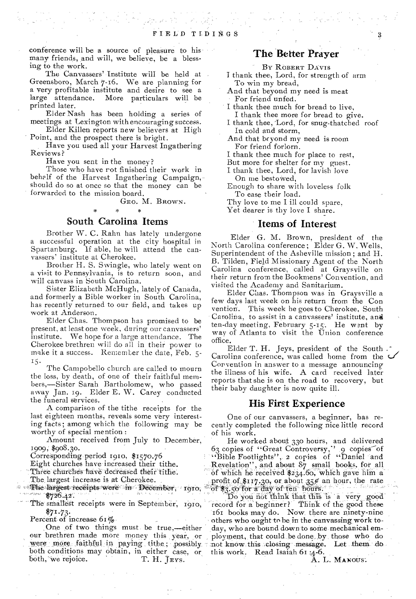conference will be a source of pleasure to his many friends, and will, we believe, be a blessing to the work.

The Canvassers' Institute will be held at Greensboro, March 7-16. We are planning for a very profitable institute and desire to see a large attendance. More particulars will be printed later.

Elder Nash has been holding a series of meetings at Lexington with encouraging success.

Elder Killen reports new believers at High Point, and the prospect there is bright.

Have you used all your Harvest Ingathering Reviews?

Have you sent in the money?

Those who have rot finished their work in behalf of the Harvest Ingathering Campaign, should do so at once so that the money can be forwarded to the mission board.

GEO. M. BROWN.

### South Carolina Items

Brother W. C. Rahn has lately undergone a successful operation at the city hospital in Spartanburg. if able, he will attend the canvassers' institute at Cherokee.

Brother H. S. Swingle, who lately went on a visit to Pennsylvania, is to return soon, and will canvass in South Carolina.

Sister Elizabeth McHugh, lately of Canada, and formerly a Bible worker in South Carolina, has recently returned to our field, and takes up work at Anderson.

Elder Chas. Thompson has promised to be present, at least one week, during our canvassers' institute. We hope for a large attendance. The Cherokee brethren will do all in their power to make it a success. Remember the date, Feb. 5- 15.

The Campobello church are called to mourn the loss, by death, of one of their faithful members,—Sister Sarah Bartholomew, who passed away Jan. 19. Elder E. W. Carey conducted the funeral services.

A comparison of the tithe receipts for the last eighteen months, reveals some very interesting facts; among which the following may be worthy of special mention :

Amount received from July to December, 1909; \$908.30.

Corresponding period r910, \$1570.76

Eight churches have increased their tithe.

Three churches have decreased their tithe.

The largest increase is at Cherokee.

 $\frac{44}{3}$  +  $\frac{44}{3}$   $\frac{44}{3}$   $\frac{44}{3}$   $\frac{44}{3}$   $\frac{44}{3}$   $\frac{44}{3}$   $\frac{44}{3}$   $\frac{44}{3}$   $\frac{44}{3}$   $\frac{44}{3}$   $\frac{44}{3}$   $\frac{44}{3}$   $\frac{44}{3}$   $\frac{44}{3}$   $\frac{44}{3}$   $\frac{44}{3}$   $\frac{44}{3}$   $\frac{44}{3}$   $\frac{44}{3}$ 

The smallest receipts were in September, 1910,  $$71.73$ 

Percent of increase  $61\%$ .

One of two things must be true,-either our brethren made more money this year, or were more faithful in paying tithe; possibly both conditions may obtain, in either case, or<br>both, we rejoice. T. H. JEYS. both, we rejoice.

# The Better Prayer

BY ROBERT DAVIS

- I thank thee, Lord, for strength of arm To win my bread,
- And that beyond my need is meat For friend unfed.
- I thank thee much for bread to live, I thank thee more for bread to give.
- I thank thee, 'Lord, for snug-thatched roof In cold and storm,

And that beyond my need is room For friend forlorn.

I thank thee much for place to rest,

But more for shelter for my guest.

I thank thee, Lord, for lavish love On me bestowed.

Enough to share with loveless folk To ease their load.

Thy love to me I ill could spare,

Yet dearer is thy love I share.

### Items of Interest

Elder G. M. Brown, president of the North Carolina conference ; Elder G. W. Wells, Superintendent of the Asheville mission ; and H. B. Tilden, Field Missionary Agent of the North Carolina conference, called at Graysville on their return from the Bookmens' Convention, and visited the Academy and Sanitarium.

Elder Chas. Thompson was in Graysville a few days last week on his return from the Con vention. This week he goes to Cherokee, South Carolina, to assist in a canvassers' institute, and ten-day meeting, February  $5-15$ . He went by way of Atlanta to visit the Union conference office.

Elder T. H. Jeys, president of the South . Carolina conference, was called home from the  $\epsilon$ Convention in answer to a message announcing the illness of his wife. A card received later reports that she is on the road to recovery, but their baby daughter is now quite ill.

### His First Experience

One of our canvassers, a beginner, has recently completed the following nice little record of his work.

He worked about 330 hours, and delivered 63 copies of "Great Controversy," 9 copies of "Bible Footlights", 2 copies of "Daniel and Revelation", and about  $87$  small books, for all of which he received  $234.60$ , which gave him a profit of \$117.30, or about 35% an hour, the rate of \$3.50 for a day of ten hours.

Do you not think that this is a very good' pools of the good' in the good' in the good' these 161 boOks may do. Now. there are ninety-nine others who ought to be in the canvassing work today, who are bound down to some mechanical employment, that could be done by those who do not know this closing message. Let them do this work. Read Isaiah 61 ;4-6.

A. L. MANOUS.